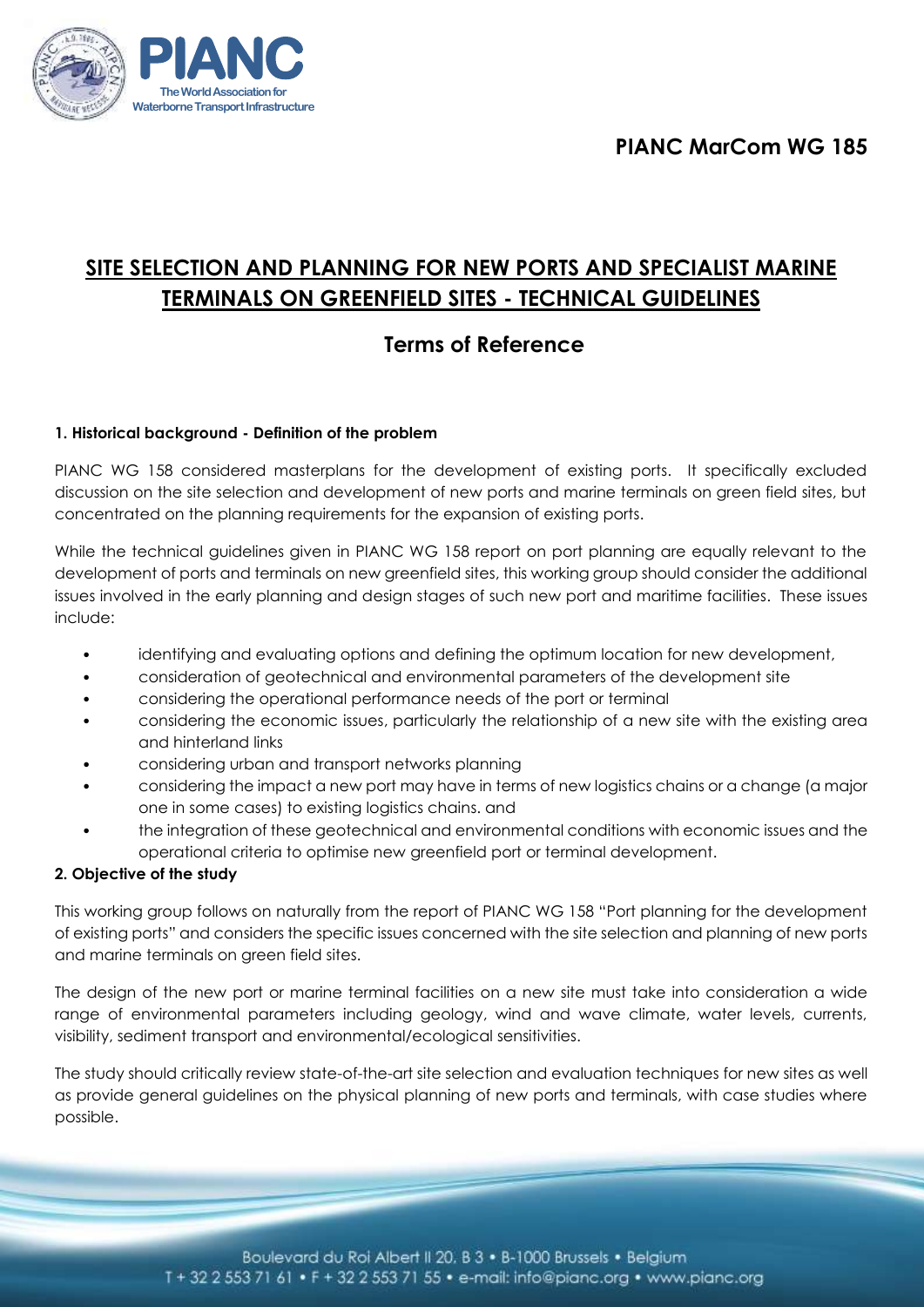

# **SITE SELECTION AND PLANNING FOR NEW PORTS AND SPECIALIST MARINE TERMINALS ON GREENFIELD SITES - TECHNICAL GUIDELINES**

## **Terms of Reference**

## **1. Historical background - Definition of the problem**

PIANC WG 158 considered masterplans for the development of existing ports. It specifically excluded discussion on the site selection and development of new ports and marine terminals on green field sites, but concentrated on the planning requirements for the expansion of existing ports.

While the technical guidelines given in PIANC WG 158 report on port planning are equally relevant to the development of ports and terminals on new greenfield sites, this working group should consider the additional issues involved in the early planning and design stages of such new port and maritime facilities. These issues include:

- identifying and evaluating options and defining the optimum location for new development,
- consideration of geotechnical and environmental parameters of the development site
- considering the operational performance needs of the port or terminal
- considering the economic issues, particularly the relationship of a new site with the existing area and hinterland links
- considering urban and transport networks planning
- considering the impact a new port may have in terms of new logistics chains or a change (a major one in some cases) to existing logistics chains. and
- the integration of these geotechnical and environmental conditions with economic issues and the operational criteria to optimise new greenfield port or terminal development.

#### **2. Objective of the study**

This working group follows on naturally from the report of PIANC WG 158 "Port planning for the development of existing ports" and considers the specific issues concerned with the site selection and planning of new ports and marine terminals on green field sites.

The design of the new port or marine terminal facilities on a new site must take into consideration a wide range of environmental parameters including geology, wind and wave climate, water levels, currents, visibility, sediment transport and environmental/ecological sensitivities.

The study should critically review state-of-the-art site selection and evaluation techniques for new sites as well as provide general guidelines on the physical planning of new ports and terminals, with case studies where possible.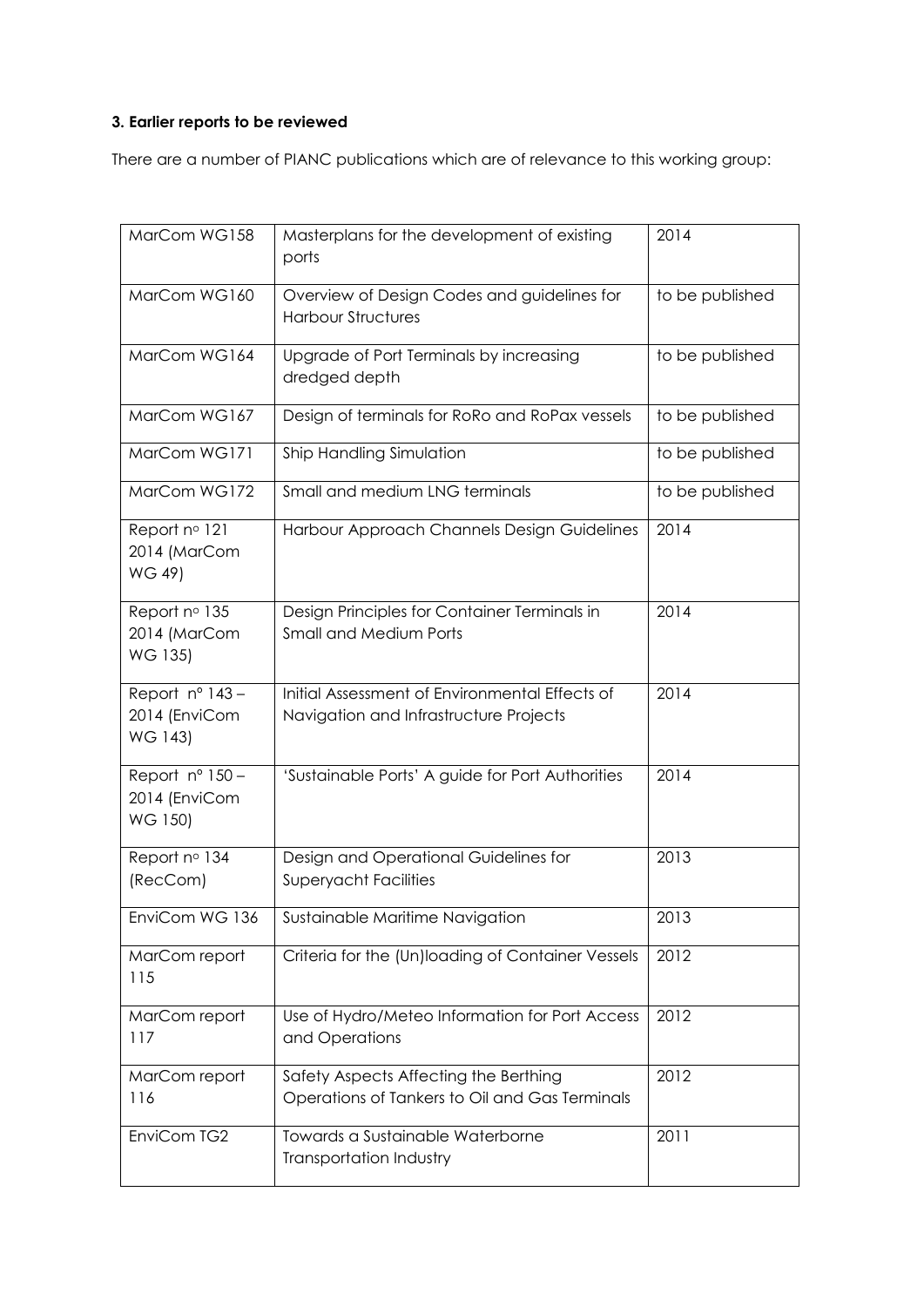## **3. Earlier reports to be reviewed**

There are a number of PIANC publications which are of relevance to this working group:

| MarCom WG158                                         | Masterplans for the development of existing<br>ports                                     | 2014            |
|------------------------------------------------------|------------------------------------------------------------------------------------------|-----------------|
| MarCom WG160                                         | Overview of Design Codes and guidelines for<br><b>Harbour Structures</b>                 | to be published |
| MarCom WG164                                         | Upgrade of Port Terminals by increasing<br>dredged depth                                 | to be published |
| MarCom WG167                                         | Design of terminals for RoRo and RoPax vessels                                           | to be published |
| MarCom WG171                                         | Ship Handling Simulation                                                                 | to be published |
| MarCom WG172                                         | Small and medium LNG terminals                                                           | to be published |
| Report nº 121<br>2014 (MarCom<br>WG 49)              | Harbour Approach Channels Design Guidelines                                              | 2014            |
| Report nº 135<br>2014 (MarCom<br>WG 135)             | Design Principles for Container Terminals in<br><b>Small and Medium Ports</b>            | 2014            |
| Report $n^{\circ}$ 143 -<br>2014 (EnviCom<br>WG 143) | Initial Assessment of Environmental Effects of<br>Navigation and Infrastructure Projects | 2014            |
| Report nº 150 -<br>2014 (EnviCom<br>WG 150)          | 'Sustainable Ports' A guide for Port Authorities                                         | 2014            |
| Report nº 134<br>(RecCom)                            | Design and Operational Guidelines for<br><b>Superyacht Facilities</b>                    | 2013            |
| EnviCom WG 136                                       | Sustainable Maritime Navigation                                                          | 2013            |
| MarCom report<br>115                                 | Criteria for the (Un)loading of Container Vessels                                        | 2012            |
| MarCom report<br>117                                 | Use of Hydro/Meteo Information for Port Access<br>and Operations                         | 2012            |
| MarCom report<br>116                                 | Safety Aspects Affecting the Berthing<br>Operations of Tankers to Oil and Gas Terminals  | 2012            |
| EnviCom TG2                                          | Towards a Sustainable Waterborne<br>Transportation Industry                              | 2011            |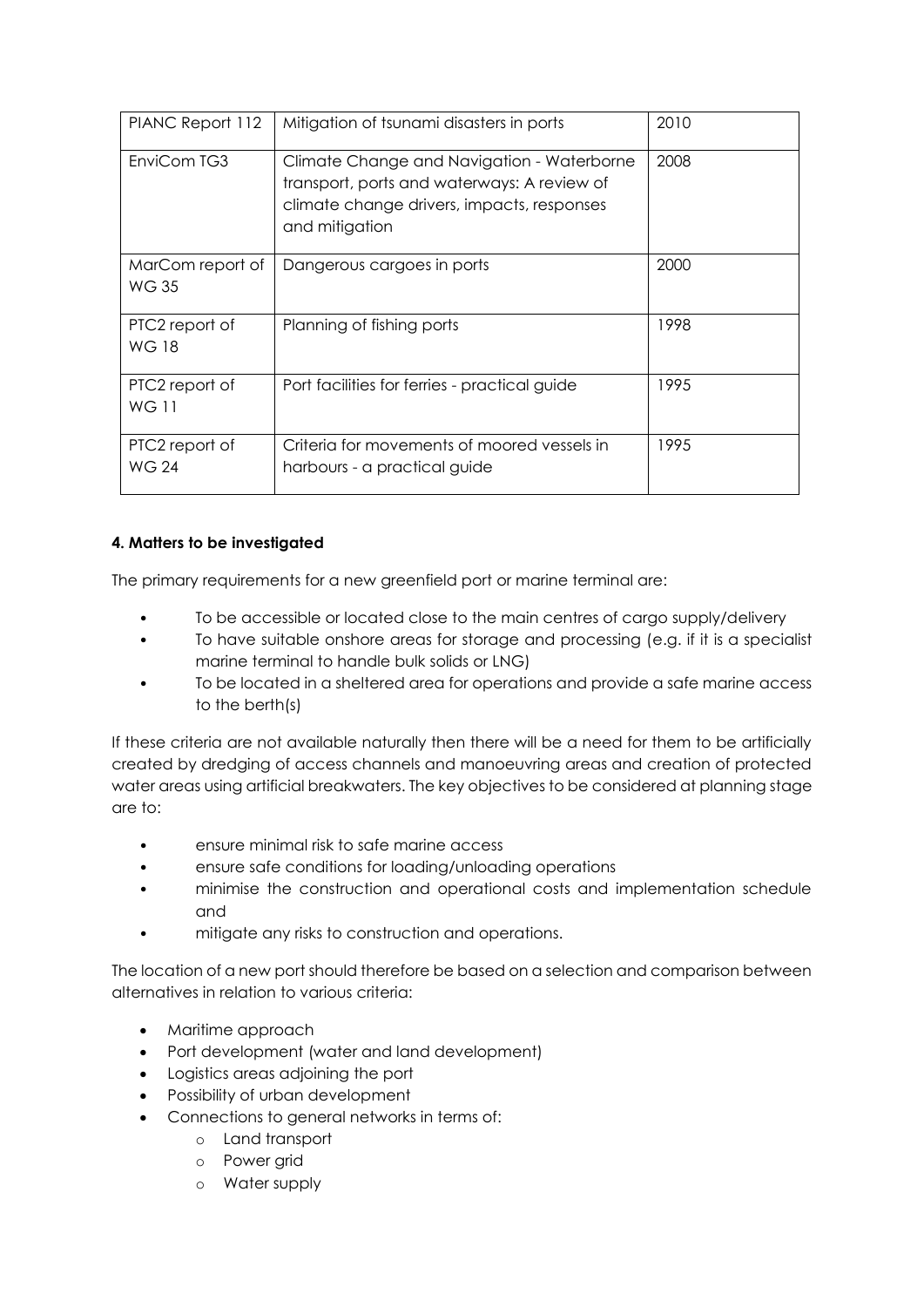| PIANC Report 112                 | Mitigation of tsunami disasters in ports                                                                                                                  | 2010 |
|----------------------------------|-----------------------------------------------------------------------------------------------------------------------------------------------------------|------|
| EnviCom TG3                      | Climate Change and Navigation - Waterborne<br>transport, ports and waterways: A review of<br>climate change drivers, impacts, responses<br>and mitigation | 2008 |
| MarCom report of<br><b>WG 35</b> | Dangerous cargoes in ports                                                                                                                                | 2000 |
| PTC2 report of<br><b>WG 18</b>   | Planning of fishing ports                                                                                                                                 | 1998 |
| PTC2 report of<br><b>WG11</b>    | Port facilities for ferries - practical guide                                                                                                             | 1995 |
| PTC2 report of<br><b>WG 24</b>   | Criteria for movements of moored vessels in<br>harbours - a practical guide                                                                               | 1995 |

## **4. Matters to be investigated**

The primary requirements for a new greenfield port or marine terminal are:

- To be accessible or located close to the main centres of cargo supply/delivery
- To have suitable onshore areas for storage and processing (e.g. if it is a specialist marine terminal to handle bulk solids or LNG)
- To be located in a sheltered area for operations and provide a safe marine access to the berth(s)

If these criteria are not available naturally then there will be a need for them to be artificially created by dredging of access channels and manoeuvring areas and creation of protected water areas using artificial breakwaters. The key objectives to be considered at planning stage are to:

- ensure minimal risk to safe marine access
- ensure safe conditions for loading/unloading operations
- minimise the construction and operational costs and implementation schedule and
- mitigate any risks to construction and operations.

The location of a new port should therefore be based on a selection and comparison between alternatives in relation to various criteria:

- Maritime approach
- Port development (water and land development)
- Logistics areas adjoining the port
- Possibility of urban development
- Connections to general networks in terms of:
	- o Land transport
	- o Power grid
	- o Water supply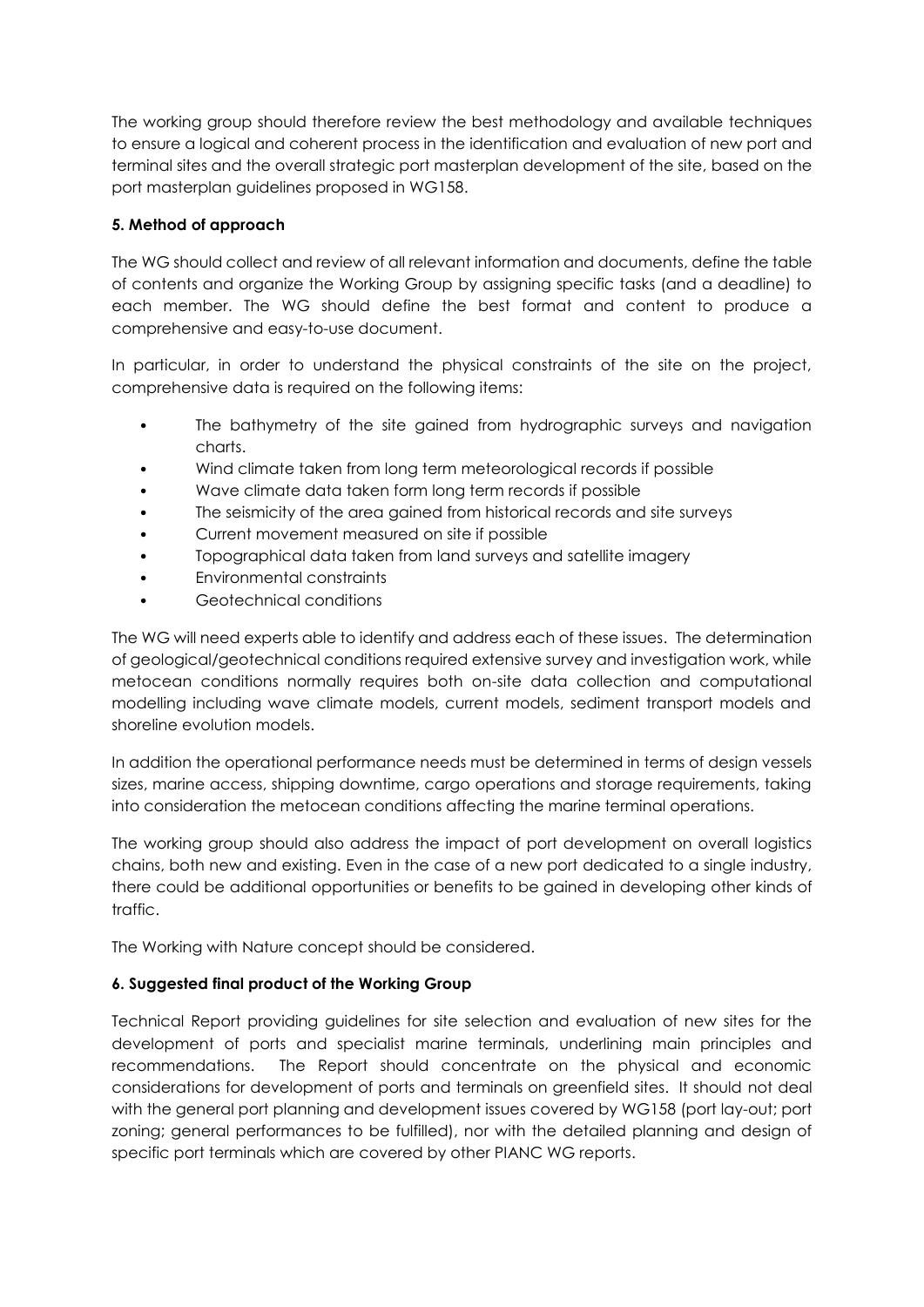The working group should therefore review the best methodology and available techniques to ensure a logical and coherent process in the identification and evaluation of new port and terminal sites and the overall strategic port masterplan development of the site, based on the port masterplan guidelines proposed in WG158.

#### **5. Method of approach**

The WG should collect and review of all relevant information and documents, define the table of contents and organize the Working Group by assigning specific tasks (and a deadline) to each member. The WG should define the best format and content to produce a comprehensive and easy-to-use document.

In particular, in order to understand the physical constraints of the site on the project, comprehensive data is required on the following items:

- The bathymetry of the site gained from hydrographic surveys and navigation charts.
- Wind climate taken from long term meteorological records if possible
- Wave climate data taken form long term records if possible
- The seismicity of the area gained from historical records and site surveys
- Current movement measured on site if possible
- Topographical data taken from land surveys and satellite imagery
- Environmental constraints
- Geotechnical conditions

The WG will need experts able to identify and address each of these issues. The determination of geological/geotechnical conditions required extensive survey and investigation work, while metocean conditions normally requires both on-site data collection and computational modelling including wave climate models, current models, sediment transport models and shoreline evolution models.

In addition the operational performance needs must be determined in terms of design vessels sizes, marine access, shipping downtime, cargo operations and storage requirements, taking into consideration the metocean conditions affecting the marine terminal operations.

The working group should also address the impact of port development on overall logistics chains, both new and existing. Even in the case of a new port dedicated to a single industry, there could be additional opportunities or benefits to be gained in developing other kinds of traffic.

The Working with Nature concept should be considered.

## **6. Suggested final product of the Working Group**

Technical Report providing guidelines for site selection and evaluation of new sites for the development of ports and specialist marine terminals, underlining main principles and recommendations. The Report should concentrate on the physical and economic considerations for development of ports and terminals on greenfield sites. It should not deal with the general port planning and development issues covered by WG158 (port lay-out; port zoning; general performances to be fulfilled), nor with the detailed planning and design of specific port terminals which are covered by other PIANC WG reports.